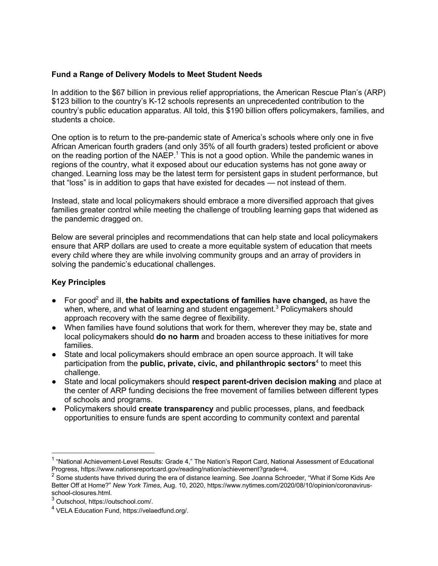## **Fund a Range of Delivery Models to Meet Student Needs**

In addition to the \$67 billion in previous relief appropriations, the American Rescue Plan's (ARP) \$123 billion to the country's K-12 schools represents an unprecedented contribution to the country's public education apparatus. All told, this \$190 billion offers policymakers, families, and students a choice.

One option is to return to the pre-pandemic state of America's schools where only one in five African American fourth graders (and only 35% of all fourth graders) tested proficient or above on the reading portion of the NAEP.<sup>1</sup> This is not a good option. While the pandemic wanes in regions of the country, what it exposed about our education systems has not gone away or changed. Learning loss may be the latest term for persistent gaps in student performance, but that "loss" is in addition to gaps that have existed for decades — not instead of them.

Instead, state and local policymakers should embrace a more diversified approach that gives families greater control while meeting the challenge of troubling learning gaps that widened as the pandemic dragged on.

Below are several principles and recommendations that can help state and local policymakers ensure that ARP dollars are used to create a more equitable system of education that meets every child where they are while involving community groups and an array of providers in solving the pandemic's educational challenges.

# **Key Principles**

- For good<sup>2</sup> and ill, **the habits and expectations of families have changed**, as have the when, where, and what of learning and student engagement.<sup>3</sup> Policymakers should approach recovery with the same degree of flexibility.
- When families have found solutions that work for them, wherever they may be, state and local policymakers should **do no harm** and broaden access to these initiatives for more families.
- State and local policymakers should embrace an open source approach. It will take participation from the **public, private, civic, and philanthropic sectors**<sup>4</sup> to meet this challenge.
- State and local policymakers should **respect parent-driven decision making** and place at the center of ARP funding decisions the free movement of families between different types of schools and programs.
- Policymakers should **create transparency** and public processes, plans, and feedback opportunities to ensure funds are spent according to community context and parental

<sup>&</sup>lt;sup>1</sup> "National Achievement-Level Results: Grade 4," The Nation's Report Card, National Assessment of Educational Progress, https://www.nationsreportcard.gov/reading/nation/achievement?grade=4.

<sup>&</sup>lt;sup>2</sup> Some students have thrived during the era of distance learning. See Joanna Schroeder, "What if Some Kids Are Better Off at Home?" *New York Times*, Aug. 10, 2020, https://www.nytimes.com/2020/08/10/opinion/coronavirusschool-closures.html.

<sup>3</sup> Outschool, https://outschool.com/.

<sup>4</sup> VELA Education Fund, https://velaedfund.org/.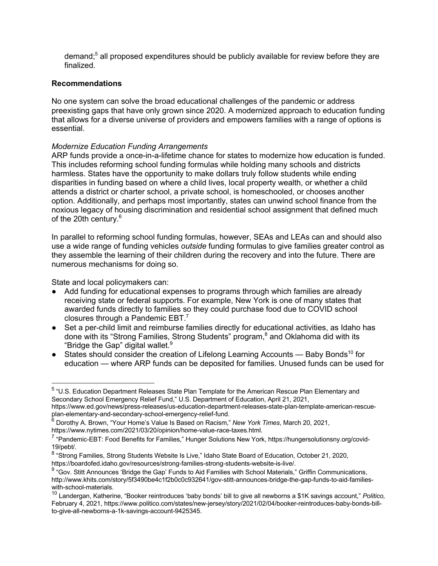demand: $5$  all proposed expenditures should be publicly available for review before they are finalized.

### **Recommendations**

No one system can solve the broad educational challenges of the pandemic or address preexisting gaps that have only grown since 2020. A modernized approach to education funding that allows for a diverse universe of providers and empowers families with a range of options is essential.

### *Modernize Education Funding Arrangements*

ARP funds provide a once-in-a-lifetime chance for states to modernize how education is funded. This includes reforming school funding formulas while holding many schools and districts harmless. States have the opportunity to make dollars truly follow students while ending disparities in funding based on where a child lives, local property wealth, or whether a child attends a district or charter school, a private school, is homeschooled, or chooses another option. Additionally, and perhaps most importantly, states can unwind school finance from the noxious legacy of housing discrimination and residential school assignment that defined much of the 20th century.<sup>6</sup>

In parallel to reforming school funding formulas, however, SEAs and LEAs can and should also use a wide range of funding vehicles *outside* funding formulas to give families greater control as they assemble the learning of their children during the recovery and into the future. There are numerous mechanisms for doing so.

State and local policymakers can:

- Add funding for educational expenses to programs through which families are already receiving state or federal supports. For example, New York is one of many states that awarded funds directly to families so they could purchase food due to COVID school closures through a Pandemic EBT.7
- Set a per-child limit and reimburse families directly for educational activities, as Idaho has done with its "Strong Families, Strong Students" program,<sup>8</sup> and Oklahoma did with its "Bridge the Gap" digital wallet. $9$
- States should consider the creation of Lifelong Learning Accounts Baby Bonds<sup>10</sup> for education — where ARP funds can be deposited for families. Unused funds can be used for

<sup>5</sup> "U.S. Education Department Releases State Plan Template for the American Rescue Plan Elementary and Secondary School Emergency Relief Fund," U.S. Department of Education, April 21, 2021,

https://www.ed.gov/news/press-releases/us-education-department-releases-state-plan-template-american-rescueplan-elementary-and-secondary-school-emergency-relief-fund.

<sup>6</sup> Dorothy A. Brown, "Your Home's Value Is Based on Racism," *New York Times*, March 20, 2021,

https://www.nytimes.com/2021/03/20/opinion/home-value-race-taxes.html.

<sup>&</sup>lt;sup>7</sup> "Pandemic-EBT: Food Benefits for Families," Hunger Solutions New York, https://hungersolutionsny.org/covid-19/pebt/.

<sup>8</sup> "Strong Families, Strong Students Website Is Live," Idaho State Board of Education, October 21, 2020, https://boardofed.idaho.gov/resources/strong-families-strong-students-website-is-live/.

<sup>&</sup>lt;sup>9</sup> "Gov. Stitt Announces 'Bridge the Gap' Funds to Aid Families with School Materials," Griffin Communications, http://www.khits.com/story/5f3490be4c1f2b0c0c932641/gov-stitt-announces-bridge-the-gap-funds-to-aid-familieswith-school-materials.

<sup>10</sup> Landergan, Katherine, "Booker reintroduces 'baby bonds' bill to give all newborns a \$1K savings account," *Politico,*  February 4, 2021, https://www.politico.com/states/new-jersey/story/2021/02/04/booker-reintroduces-baby-bonds-billto-give-all-newborns-a-1k-savings-account-9425345.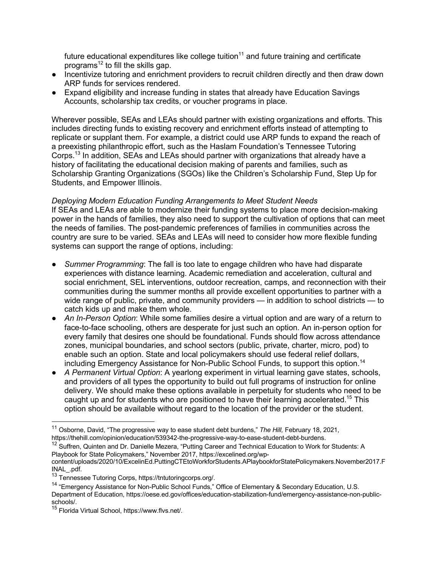future educational expenditures like college tuition<sup>11</sup> and future training and certificate programs<sup>12</sup> to fill the skills gap.

- Incentivize tutoring and enrichment providers to recruit children directly and then draw down ARP funds for services rendered.
- Expand eligibility and increase funding in states that already have Education Savings Accounts, scholarship tax credits, or voucher programs in place.

Wherever possible, SEAs and LEAs should partner with existing organizations and efforts. This includes directing funds to existing recovery and enrichment efforts instead of attempting to replicate or supplant them. For example, a district could use ARP funds to expand the reach of a preexisting philanthropic effort, such as the Haslam Foundation's Tennessee Tutoring Corps.13 In addition, SEAs and LEAs should partner with organizations that already have a history of facilitating the educational decision making of parents and families, such as Scholarship Granting Organizations (SGOs) like the Children's Scholarship Fund, Step Up for Students, and Empower Illinois.

### *Deploying Modern Education Funding Arrangements to Meet Student Needs*

If SEAs and LEAs are able to modernize their funding systems to place more decision-making power in the hands of families, they also need to support the cultivation of options that can meet the needs of families. The post-pandemic preferences of families in communities across the country are sure to be varied. SEAs and LEAs will need to consider how more flexible funding systems can support the range of options, including:

- Summer Programming: The fall is too late to engage children who have had disparate experiences with distance learning. Academic remediation and acceleration, cultural and social enrichment, SEL interventions, outdoor recreation, camps, and reconnection with their communities during the summer months all provide excellent opportunities to partner with a wide range of public, private, and community providers — in addition to school districts — to catch kids up and make them whole.
- An In-Person Option: While some families desire a virtual option and are wary of a return to face-to-face schooling, others are desperate for just such an option. An in-person option for every family that desires one should be foundational. Funds should flow across attendance zones, municipal boundaries, and school sectors (public, private, charter, micro, pod) to enable such an option. State and local policymakers should use federal relief dollars, including Emergency Assistance for Non-Public School Funds, to support this option.14
- *A Permanent Virtual Option*: A yearlong experiment in virtual learning gave states, schools, and providers of all types the opportunity to build out full programs of instruction for online delivery. We should make these options available in perpetuity for students who need to be caught up and for students who are positioned to have their learning accelerated.<sup>15</sup> This option should be available without regard to the location of the provider or the student.

<sup>11</sup> Osborne, David, "The progressive way to ease student debt burdens," *The Hill,* February 18, 2021, https://thehill.com/opinion/education/539342-the-progressive-way-to-ease-student-debt-burdens.

<sup>&</sup>lt;sup>12</sup> Suffren, Quinten and Dr. Danielle Mezera, "Putting Career and Technical Education to Work for Students: A Playbook for State Policymakers," November 2017, https://excelined.org/wp-

content/uploads/2020/10/ExcelinEd.PuttingCTEtoWorkforStudents.APlaybookforStatePolicymakers.November2017.F INAL\_.pdf.

<sup>&</sup>lt;sup>13</sup> Tennessee Tutoring Corps, https://tntutoringcorps.org/.

<sup>&</sup>lt;sup>14</sup> "Emergency Assistance for Non-Public School Funds," Office of Elementary & Secondary Education, U.S. Department of Education, https://oese.ed.gov/offices/education-stabilization-fund/emergency-assistance-non-publicschools/.

<sup>15</sup> Florida Virtual School, https://www.flvs.net/.